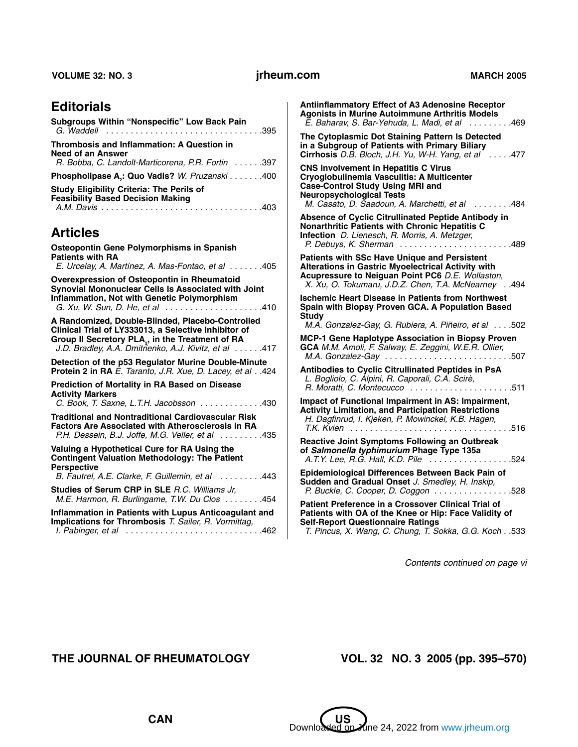# **Editorials**

| Subgroups Within "Nonspecific" Low Back Pain                                                 |  |
|----------------------------------------------------------------------------------------------|--|
| <b>Thrombosis and Inflammation: A Question in</b>                                            |  |
| Need of an Answer<br>R. Bobba, C. Landolt-Marticorena, P.R. Fortin 397                       |  |
| Phospholipase A <sub>2</sub> : Quo Vadis? W. Pruzanski 400                                   |  |
| <b>Study Eligibility Criteria: The Perils of</b><br><b>Feasibility Based Decision Making</b> |  |

# **Articles**

| Osteopontin Gene Polymorphisms in Spanish<br><b>Patients with RA</b>                                                                                                                                                              |
|-----------------------------------------------------------------------------------------------------------------------------------------------------------------------------------------------------------------------------------|
| E. Urcelay, A. Martínez, A. Mas-Fontao, et al 405                                                                                                                                                                                 |
| Overexpression of Osteopontin in Rheumatoid<br>Synovial Mononuclear Cells Is Associated with Joint<br><b>Inflammation, Not with Genetic Polymorphism</b><br>G. Xu, W. Sun, D. He, et al 410                                       |
| A Randomized, Double-Blinded, Placebo-Controlled<br>Clinical Trial of LY333013, a Selective Inhibitor of<br>Group II Secretory PLA <sub>2</sub> , in the Treatment of RA<br>J.D. Bradley, A.A. Dmitrienko, A.J. Kivitz, et al 417 |
| Detection of the p53 Regulator Murine Double-Minute<br>Protein 2 in RA E. Taranto, J.R. Xue, D. Lacey, et al424                                                                                                                   |
| Prediction of Mortality in RA Based on Disease<br><b>Activity Markers</b><br>C. Book, T. Saxne, L.T.H. Jacobsson 430                                                                                                              |
| <b>Traditional and Nontraditional Cardiovascular Risk</b><br><b>Factors Are Associated with Atherosclerosis in RA</b><br>P.H. Dessein, B.J. Joffe, M.G. Veller, et al 435                                                         |
| Valuing a Hypothetical Cure for RA Using the<br><b>Contingent Valuation Methodology: The Patient</b><br><b>Perspective</b>                                                                                                        |
| B. Fautrel, A.E. Clarke, F. Guillemin, et al 443                                                                                                                                                                                  |
| <b>Studies of Serum CRP in SLE R.C. Williams Jr.</b><br>M.E. Harmon, R. Burlingame, T.W. Du Clos 454                                                                                                                              |
| Inflammation in Patients with Lupus Anticoagulant and<br>Implications for Thrombosis T. Sailer, R. Vormittag,<br>I. Pabinger, et al 462                                                                                           |

| <b>Antiinflammatory Effect of A3 Adenosine Receptor</b><br><b>Agonists in Murine Autoimmune Arthritis Models</b><br>E. Baharav, S. Bar-Yehuda, L. Madi, et al 469                                                         |
|---------------------------------------------------------------------------------------------------------------------------------------------------------------------------------------------------------------------------|
| The Cytoplasmic Dot Staining Pattern Is Detected<br>in a Subgroup of Patients with Primary Biliary<br>Cirrhosis D.B. Bloch, J.H. Yu, W-H. Yang, et al $\ldots$ . 477                                                      |
| <b>CNS Involvement in Hepatitis C Virus</b><br>Cryoglobulinemia Vasculitis: A Multicenter<br><b>Case-Control Study Using MRI and</b><br><b>Neuropsychological Tests</b><br>M. Casato, D. Saadoun, A. Marchetti, et al 484 |
| Absence of Cyclic Citrullinated Peptide Antibody in<br><b>Nonarthritic Patients with Chronic Hepatitis C</b><br>Infection D. Lienesch, R. Morris, A. Metzger,<br>P. Debuys, K. Sherman 489                                |
| Patients with SSc Have Unique and Persistent<br><b>Alterations in Gastric Myoelectrical Activity with</b><br>Acupressure to Neiguan Point PC6 D.E. Wollaston,<br>X. Xu, O. Tokumaru, J.D.Z. Chen, T.A. McNearney494       |
| <b>Ischemic Heart Disease in Patients from Northwest</b><br>Spain with Biopsy Proven GCA. A Population Based<br>Study<br>M.A. Gonzalez-Gay, G. Rubiera, A. Piñeiro, et al502                                              |
| MCP-1 Gene Haplotype Association in Biopsy Proven<br>GCA M.M. Amoli, F. Salway, E. Zeggini, W.E.R. Ollier,<br>$M.A.$ Gonzalez-Gay 507                                                                                     |
| Antibodies to Cyclic Citrullinated Peptides in PsA<br>L. Bogliolo, C. Alpini, R. Caporali, C.A. Scirè,<br>R. Moratti, C. Montecucco 511                                                                                   |
| Impact of Functional Impairment in AS: Impairment,<br><b>Activity Limitation, and Participation Restrictions</b><br>H. Dagfinrud, I. Kjeken, P. Mowinckel, K.B. Hagen,                                                    |
| <b>Reactive Joint Symptoms Following an Outbreak</b><br>of Salmonella typhimurium Phage Type 135a<br>A.T.Y. Lee, R.G. Hall, K.D. Pile 524                                                                                 |
| Epidemiological Differences Between Back Pain of<br>Sudden and Gradual Onset J. Smedley, H. Inskip,<br>P. Buckle, C. Cooper, D. Coggon 528                                                                                |
| Patient Preference in a Crossover Clinical Trial of<br>Patients with OA of the Knee or Hip: Face Validity of<br><b>Self-Report Questionnaire Ratings</b><br>T. Pincus, X. Wang, C. Chung, T. Sokka, G.G. Koch533          |

*Contents continued on page vi*

#### **THE JOURNAL OF RHEUMATOLOGY VOL. 32 NO. 3 2005 (pp. 395–570)**